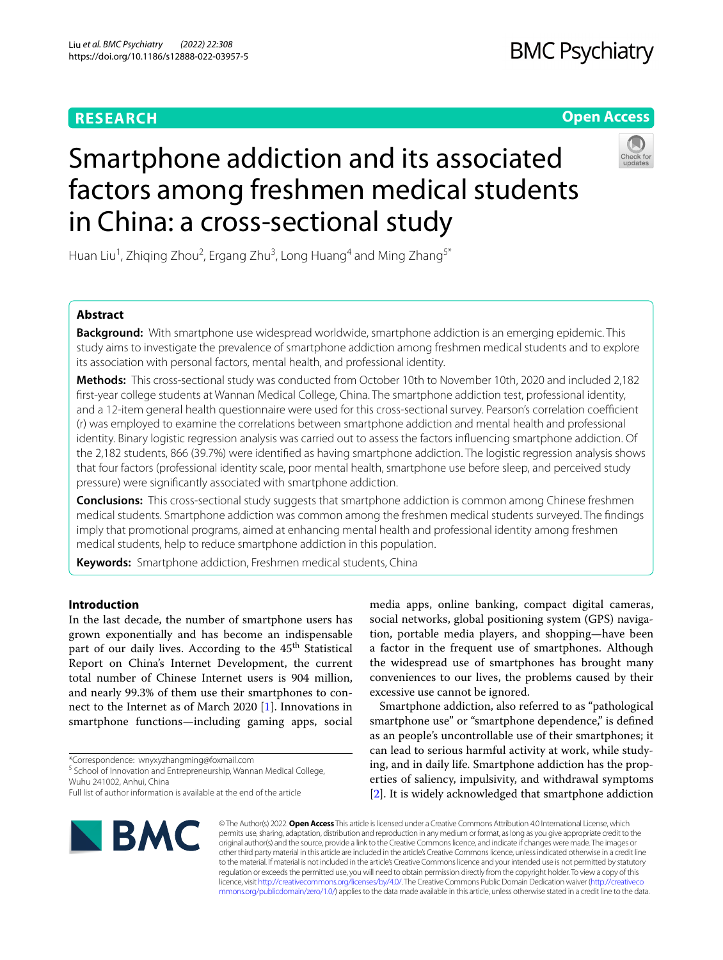# **RESEARCH**

## **Open Access**



# Smartphone addiction and its associated factors among freshmen medical students in China: a cross-sectional study

Huan Liu<sup>1</sup>, Zhiqing Zhou<sup>2</sup>, Ergang Zhu<sup>3</sup>, Long Huang<sup>4</sup> and Ming Zhang<sup>5\*</sup>

## **Abstract**

**Background:** With smartphone use widespread worldwide, smartphone addiction is an emerging epidemic. This study aims to investigate the prevalence of smartphone addiction among freshmen medical students and to explore its association with personal factors, mental health, and professional identity.

**Methods:** This cross-sectional study was conducted from October 10th to November 10th, 2020 and included 2,182 frst-year college students at Wannan Medical College, China. The smartphone addiction test, professional identity, and a 12-item general health questionnaire were used for this cross-sectional survey. Pearson's correlation coefficient (r) was employed to examine the correlations between smartphone addiction and mental health and professional identity. Binary logistic regression analysis was carried out to assess the factors infuencing smartphone addiction. Of the 2,182 students, 866 (39.7%) were identifed as having smartphone addiction. The logistic regression analysis shows that four factors (professional identity scale, poor mental health, smartphone use before sleep, and perceived study pressure) were signifcantly associated with smartphone addiction.

**Conclusions:** This cross-sectional study suggests that smartphone addiction is common among Chinese freshmen medical students. Smartphone addiction was common among the freshmen medical students surveyed. The fndings imply that promotional programs, aimed at enhancing mental health and professional identity among freshmen medical students, help to reduce smartphone addiction in this population.

**Keywords:** Smartphone addiction, Freshmen medical students, China

## **Introduction**

In the last decade, the number of smartphone users has grown exponentially and has become an indispensable part of our daily lives. According to the 45<sup>th</sup> Statistical Report on China's Internet Development, the current total number of Chinese Internet users is 904 million, and nearly 99.3% of them use their smartphones to connect to the Internet as of March 2020 [[1\]](#page-6-0). Innovations in smartphone functions—including gaming apps, social

\*Correspondence: wnyxyzhangming@foxmail.com

<sup>5</sup> School of Innovation and Entrepreneurship, Wannan Medical College, Wuhu 241002, Anhui, China

media apps, online banking, compact digital cameras, social networks, global positioning system (GPS) navigation, portable media players, and shopping—have been a factor in the frequent use of smartphones. Although the widespread use of smartphones has brought many conveniences to our lives, the problems caused by their excessive use cannot be ignored.

Smartphone addiction, also referred to as "pathological smartphone use" or "smartphone dependence," is defined as an people's uncontrollable use of their smartphones; it can lead to serious harmful activity at work, while studying, and in daily life. Smartphone addiction has the properties of saliency, impulsivity, and withdrawal symptoms [[2\]](#page-6-1). It is widely acknowledged that smartphone addiction



© The Author(s) 2022. **Open Access** This article is licensed under a Creative Commons Attribution 4.0 International License, which permits use, sharing, adaptation, distribution and reproduction in any medium or format, as long as you give appropriate credit to the original author(s) and the source, provide a link to the Creative Commons licence, and indicate if changes were made. The images or other third party material in this article are included in the article's Creative Commons licence, unless indicated otherwise in a credit line to the material. If material is not included in the article's Creative Commons licence and your intended use is not permitted by statutory regulation or exceeds the permitted use, you will need to obtain permission directly from the copyright holder. To view a copy of this licence, visit [http://creativecommons.org/licenses/by/4.0/.](http://creativecommons.org/licenses/by/4.0/) The Creative Commons Public Domain Dedication waiver ([http://creativeco](http://creativecommons.org/publicdomain/zero/1.0/) [mmons.org/publicdomain/zero/1.0/](http://creativecommons.org/publicdomain/zero/1.0/)) applies to the data made available in this article, unless otherwise stated in a credit line to the data.

Full list of author information is available at the end of the article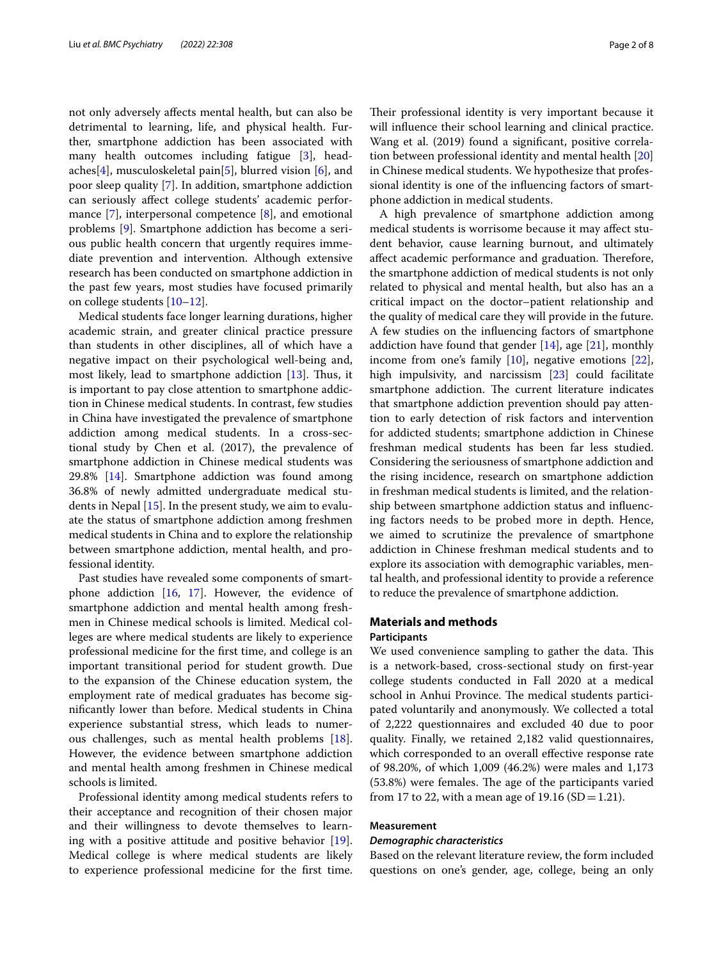not only adversely afects mental health, but can also be detrimental to learning, life, and physical health. Further, smartphone addiction has been associated with many health outcomes including fatigue [[3\]](#page-6-2), headaches[\[4](#page-6-3)], musculoskeletal pain[\[5\]](#page-6-4), blurred vision [\[6](#page-6-5)], and poor sleep quality [\[7](#page-6-6)]. In addition, smartphone addiction can seriously afect college students' academic performance [\[7\]](#page-6-6), interpersonal competence [\[8](#page-6-7)], and emotional problems [[9\]](#page-6-8). Smartphone addiction has become a serious public health concern that urgently requires immediate prevention and intervention. Although extensive research has been conducted on smartphone addiction in the past few years, most studies have focused primarily on college students [\[10](#page-6-9)[–12\]](#page-6-10).

Medical students face longer learning durations, higher academic strain, and greater clinical practice pressure than students in other disciplines, all of which have a negative impact on their psychological well-being and, most likely, lead to smartphone addiction  $[13]$  $[13]$ . Thus, it is important to pay close attention to smartphone addiction in Chinese medical students. In contrast, few studies in China have investigated the prevalence of smartphone addiction among medical students. In a cross-sectional study by Chen et al. (2017), the prevalence of smartphone addiction in Chinese medical students was 29.8% [[14](#page-6-12)]. Smartphone addiction was found among 36.8% of newly admitted undergraduate medical students in Nepal [\[15](#page-6-13)]. In the present study, we aim to evaluate the status of smartphone addiction among freshmen medical students in China and to explore the relationship between smartphone addiction, mental health, and professional identity.

Past studies have revealed some components of smartphone addiction [[16](#page-6-14), [17\]](#page-6-15). However, the evidence of smartphone addiction and mental health among freshmen in Chinese medical schools is limited. Medical colleges are where medical students are likely to experience professional medicine for the frst time, and college is an important transitional period for student growth. Due to the expansion of the Chinese education system, the employment rate of medical graduates has become signifcantly lower than before. Medical students in China experience substantial stress, which leads to numerous challenges, such as mental health problems [\[18](#page-6-16)]. However, the evidence between smartphone addiction and mental health among freshmen in Chinese medical schools is limited.

Professional identity among medical students refers to their acceptance and recognition of their chosen major and their willingness to devote themselves to learning with a positive attitude and positive behavior [\[19](#page-6-17)]. Medical college is where medical students are likely to experience professional medicine for the frst time. Their professional identity is very important because it will infuence their school learning and clinical practice. Wang et al. (2019) found a signifcant, positive correlation between professional identity and mental health [[20](#page-6-18)] in Chinese medical students. We hypothesize that professional identity is one of the infuencing factors of smartphone addiction in medical students.

A high prevalence of smartphone addiction among medical students is worrisome because it may afect student behavior, cause learning burnout, and ultimately affect academic performance and graduation. Therefore, the smartphone addiction of medical students is not only related to physical and mental health, but also has an a critical impact on the doctor–patient relationship and the quality of medical care they will provide in the future. A few studies on the infuencing factors of smartphone addiction have found that gender  $[14]$ , age  $[21]$ , monthly income from one's family [\[10](#page-6-9)], negative emotions [\[22](#page-6-20)], high impulsivity, and narcissism [[23\]](#page-6-21) could facilitate smartphone addiction. The current literature indicates that smartphone addiction prevention should pay attention to early detection of risk factors and intervention for addicted students; smartphone addiction in Chinese freshman medical students has been far less studied. Considering the seriousness of smartphone addiction and the rising incidence, research on smartphone addiction in freshman medical students is limited, and the relationship between smartphone addiction status and infuencing factors needs to be probed more in depth. Hence, we aimed to scrutinize the prevalence of smartphone addiction in Chinese freshman medical students and to explore its association with demographic variables, mental health, and professional identity to provide a reference to reduce the prevalence of smartphone addiction.

## **Materials and methods**

#### **Participants**

We used convenience sampling to gather the data. This is a network-based, cross-sectional study on frst-year college students conducted in Fall 2020 at a medical school in Anhui Province. The medical students participated voluntarily and anonymously. We collected a total of 2,222 questionnaires and excluded 40 due to poor quality. Finally, we retained 2,182 valid questionnaires, which corresponded to an overall effective response rate of 98.20%, of which 1,009 (46.2%) were males and 1,173  $(53.8%)$  were females. The age of the participants varied from 17 to 22, with a mean age of 19.16 (SD = 1.21).

## **Measurement**

#### *Demographic characteristics*

Based on the relevant literature review, the form included questions on one's gender, age, college, being an only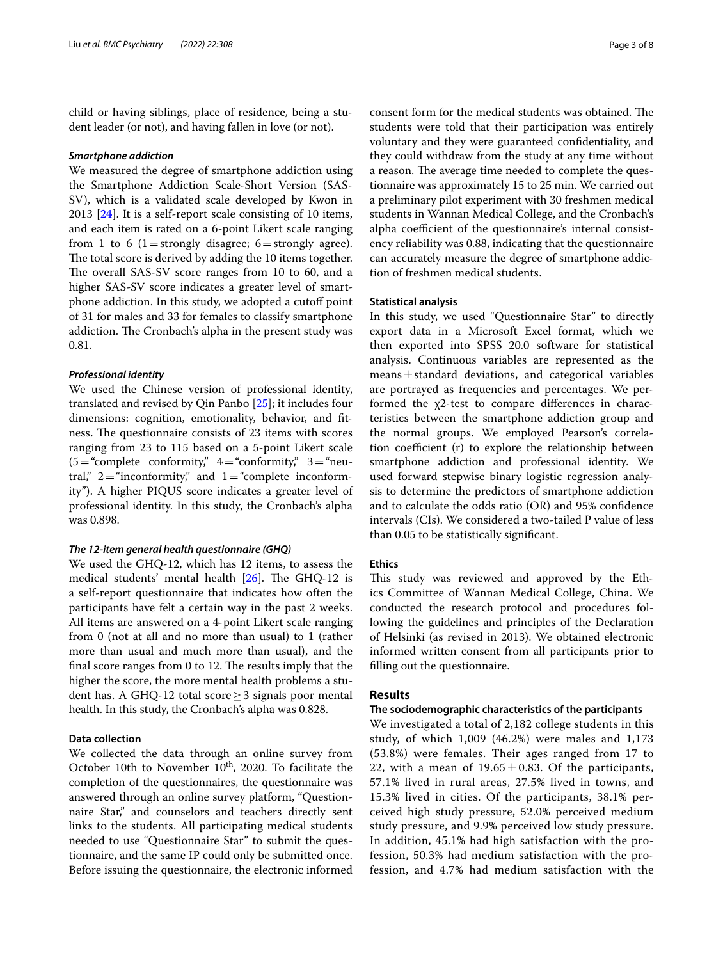child or having siblings, place of residence, being a student leader (or not), and having fallen in love (or not).

## *Smartphone addiction*

We measured the degree of smartphone addiction using the Smartphone Addiction Scale-Short Version (SAS-SV), which is a validated scale developed by Kwon in 2013 [[24\]](#page-6-22). It is a self-report scale consisting of 10 items, and each item is rated on a 6-point Likert scale ranging from 1 to 6 (1 = strongly disagree;  $6 =$  strongly agree). The total score is derived by adding the 10 items together. The overall SAS-SV score ranges from 10 to 60, and a higher SAS-SV score indicates a greater level of smartphone addiction. In this study, we adopted a cutoff point of 31 for males and 33 for females to classify smartphone addiction. The Cronbach's alpha in the present study was 0.81.

## *Professional identity*

We used the Chinese version of professional identity, translated and revised by Qin Panbo [\[25\]](#page-6-23); it includes four dimensions: cognition, emotionality, behavior, and ftness. The questionnaire consists of 23 items with scores ranging from 23 to 115 based on a 5-point Likert scale  $(5 = "complete\ continuity," 4 = "conformity," 3 = "neu$ tral,"  $2 =$ "inconformity," and  $1 =$ "complete inconformity"). A higher PIQUS score indicates a greater level of professional identity. In this study, the Cronbach's alpha was 0.898.

## *The 12‑item general health questionnaire (GHQ)*

We used the GHQ-12, which has 12 items, to assess the medical students' mental health  $[26]$  $[26]$  $[26]$ . The GHQ-12 is a self-report questionnaire that indicates how often the participants have felt a certain way in the past 2 weeks. All items are answered on a 4-point Likert scale ranging from 0 (not at all and no more than usual) to 1 (rather more than usual and much more than usual), and the final score ranges from  $0$  to  $12$ . The results imply that the higher the score, the more mental health problems a student has. A GHQ-12 total score  $\geq$  3 signals poor mental health. In this study, the Cronbach's alpha was 0.828.

## **Data collection**

We collected the data through an online survey from October 10th to November  $10<sup>th</sup>$ , 2020. To facilitate the completion of the questionnaires, the questionnaire was answered through an online survey platform, "Questionnaire Star," and counselors and teachers directly sent links to the students. All participating medical students needed to use "Questionnaire Star" to submit the questionnaire, and the same IP could only be submitted once. Before issuing the questionnaire, the electronic informed consent form for the medical students was obtained. The students were told that their participation was entirely voluntary and they were guaranteed confdentiality, and they could withdraw from the study at any time without a reason. The average time needed to complete the questionnaire was approximately 15 to 25 min. We carried out a preliminary pilot experiment with 30 freshmen medical students in Wannan Medical College, and the Cronbach's alpha coefficient of the questionnaire's internal consistency reliability was 0.88, indicating that the questionnaire can accurately measure the degree of smartphone addiction of freshmen medical students.

## **Statistical analysis**

In this study, we used "Questionnaire Star" to directly export data in a Microsoft Excel format, which we then exported into SPSS 20.0 software for statistical analysis. Continuous variables are represented as the  $means \pm standard$  deviations, and categorical variables are portrayed as frequencies and percentages. We performed the χ2-test to compare diferences in characteristics between the smartphone addiction group and the normal groups. We employed Pearson's correlation coefficient  $(r)$  to explore the relationship between smartphone addiction and professional identity. We used forward stepwise binary logistic regression analysis to determine the predictors of smartphone addiction and to calculate the odds ratio (OR) and 95% confdence intervals (CIs). We considered a two-tailed P value of less than 0.05 to be statistically signifcant.

### **Ethics**

This study was reviewed and approved by the Ethics Committee of Wannan Medical College, China. We conducted the research protocol and procedures following the guidelines and principles of the Declaration of Helsinki (as revised in 2013). We obtained electronic informed written consent from all participants prior to flling out the questionnaire.

## **Results**

## **The sociodemographic characteristics of the participants**

We investigated a total of 2,182 college students in this study, of which 1,009 (46.2%) were males and 1,173 (53.8%) were females. Their ages ranged from 17 to 22, with a mean of  $19.65 \pm 0.83$ . Of the participants, 57.1% lived in rural areas, 27.5% lived in towns, and 15.3% lived in cities. Of the participants, 38.1% perceived high study pressure, 52.0% perceived medium study pressure, and 9.9% perceived low study pressure. In addition, 45.1% had high satisfaction with the profession, 50.3% had medium satisfaction with the profession, and 4.7% had medium satisfaction with the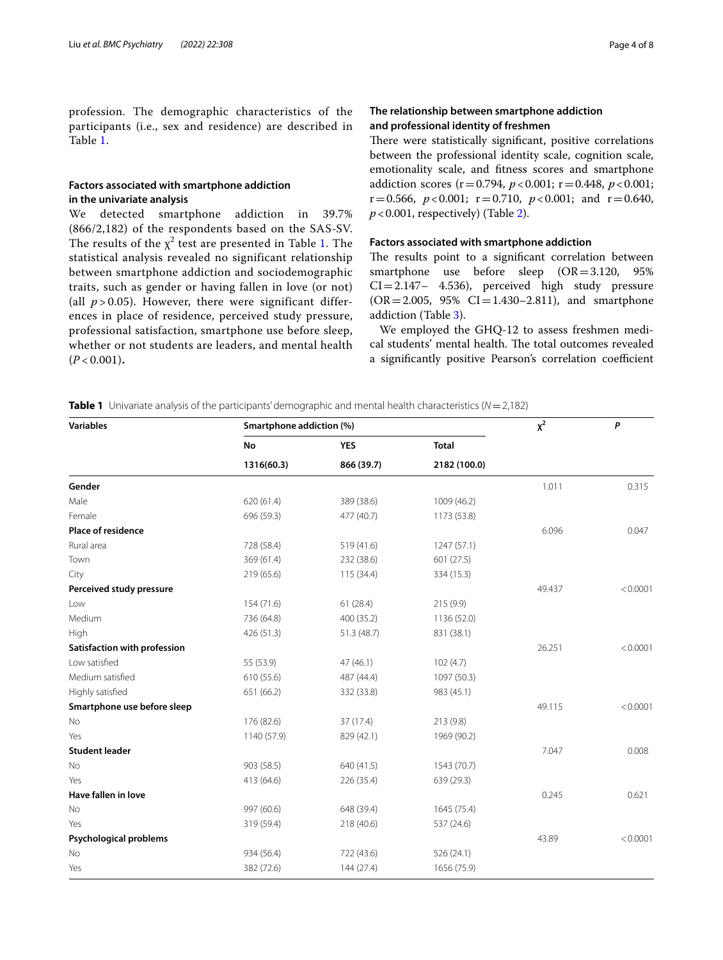profession. The demographic characteristics of the participants (i.e., sex and residence) are described in Table [1](#page-3-0).

## **Factors associated with smartphone addiction in the univariate analysis**

We detected smartphone addiction in 39.7% (866/2,182) of the respondents based on the SAS-SV. The results of the  $\chi^2$  test are presented in Table [1.](#page-3-0) The statistical analysis revealed no significant relationship between smartphone addiction and sociodemographic traits, such as gender or having fallen in love (or not) (all  $p > 0.05$ ). However, there were significant differences in place of residence, perceived study pressure, professional satisfaction, smartphone use before sleep, whether or not students are leaders, and mental health  $(P < 0.001)$ .

## **The relationship between smartphone addiction and professional identity of freshmen**

There were statistically significant, positive correlations between the professional identity scale, cognition scale, emotionality scale, and ftness scores and smartphone addiction scores  $(r=0.794, p<0.001; r=0.448, p<0.001;$  $r=0.566$ ,  $p<0.001$ ;  $r=0.710$ ,  $p<0.001$ ; and  $r=0.640$ ,  $p < 0.001$ , respectively) (Table [2\)](#page-4-0).

## **Factors associated with smartphone addiction**

The results point to a significant correlation between smartphone use before sleep (OR=3.120, 95%  $CI = 2.147 - 4.536$ , perceived high study pressure  $(OR = 2.005, 95\% \text{ CI} = 1.430 - 2.811)$ , and smartphone addiction (Table [3](#page-4-1)).

We employed the GHQ-12 to assess freshmen medical students' mental health. The total outcomes revealed a significantly positive Pearson's correlation coefficient

<span id="page-3-0"></span>**Table 1** Univariate analysis of the participants' demographic and mental health characteristics (*N*=2,182)

| <b>Variables</b>             | Smartphone addiction (%) | $x^2$                    | P                            |        |          |
|------------------------------|--------------------------|--------------------------|------------------------------|--------|----------|
|                              | No                       | <b>YES</b><br>866 (39.7) | <b>Total</b><br>2182 (100.0) |        |          |
|                              | 1316(60.3)               |                          |                              |        |          |
| Gender                       |                          |                          |                              | 1.011  | 0.315    |
| Male                         | 620 (61.4)               | 389 (38.6)               | 1009 (46.2)                  |        |          |
| Female                       | 696 (59.3)               | 477 (40.7)               | 1173 (53.8)                  |        |          |
| Place of residence           |                          |                          |                              | 6.096  | 0.047    |
| Rural area                   | 728 (58.4)               | 519 (41.6)               | 1247 (57.1)                  |        |          |
| Town                         | 369 (61.4)               | 232 (38.6)               | 601 (27.5)                   |        |          |
| City                         | 219 (65.6)               | 115 (34.4)               | 334 (15.3)                   |        |          |
| Perceived study pressure     |                          |                          |                              | 49.437 | < 0.0001 |
| Low                          | 154 (71.6)               | 61(28.4)                 | 215(9.9)                     |        |          |
| Medium                       | 736 (64.8)               | 400 (35.2)               | 1136 (52.0)                  |        |          |
| High                         | 426 (51.3)               | 51.3 (48.7)              | 831 (38.1)                   |        |          |
| Satisfaction with profession |                          |                          |                              | 26.251 | < 0.0001 |
| Low satisfied                | 55 (53.9)                | 47 (46.1)                | 102(4.7)                     |        |          |
| Medium satisfied             | 610 (55.6)               | 487 (44.4)               | 1097 (50.3)                  |        |          |
| Highly satisfied             | 651 (66.2)               | 332 (33.8)               | 983 (45.1)                   |        |          |
| Smartphone use before sleep  |                          |                          |                              | 49.115 | < 0.0001 |
| No                           | 176 (82.6)               | 37 (17.4)                | 213 (9.8)                    |        |          |
| Yes                          | 1140 (57.9)              | 829 (42.1)               | 1969 (90.2)                  |        |          |
| <b>Student leader</b>        |                          |                          |                              | 7.047  | 0.008    |
| No                           | 903 (58.5)               | 640 (41.5)               | 1543 (70.7)                  |        |          |
| Yes                          | 413 (64.6)               | 226 (35.4)               | 639 (29.3)                   |        |          |
| Have fallen in love          |                          |                          |                              | 0.245  | 0.621    |
| No                           | 997 (60.6)               | 648 (39.4)               | 1645 (75.4)                  |        |          |
| Yes                          | 319 (59.4)               | 218 (40.6)               | 537 (24.6)                   |        |          |
| Psychological problems       |                          |                          |                              | 43.89  | < 0.0001 |
| No                           | 934 (56.4)               | 722 (43.6)               | 526 (24.1)                   |        |          |
| Yes                          | 382 (72.6)               | 144 (27.4)               | 1656 (75.9)                  |        |          |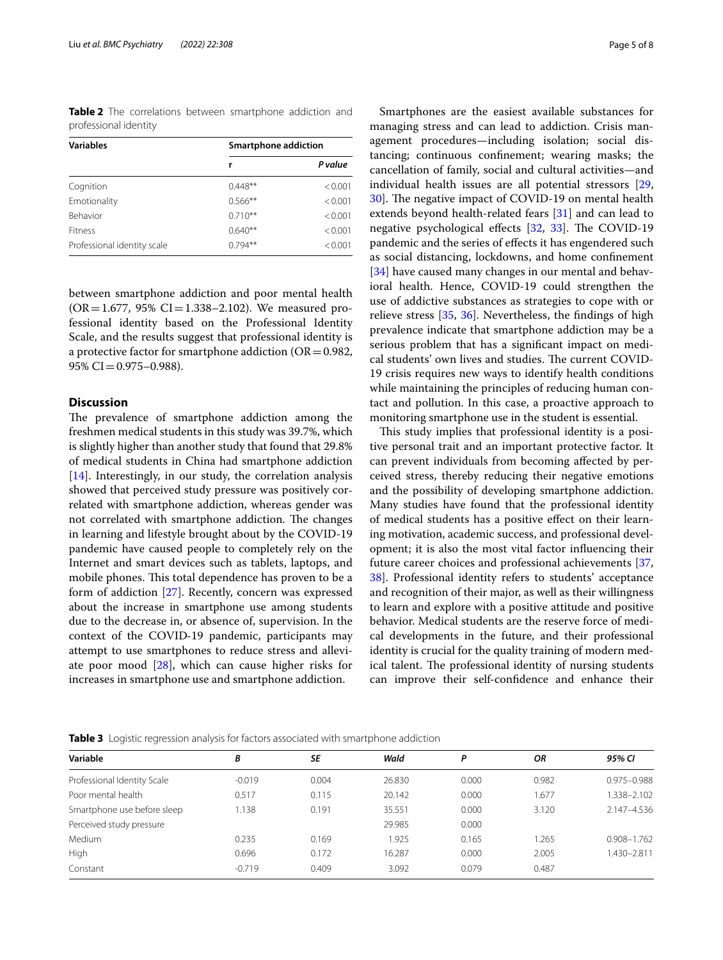<span id="page-4-0"></span>**Table 2** The correlations between smartphone addiction and professional identity

| <b>Variables</b>            | Smartphone addiction |         |  |  |
|-----------------------------|----------------------|---------|--|--|
|                             | r                    | P value |  |  |
| Cognition                   | $0.448**$            | < 0.001 |  |  |
| Emotionality                | $0.566**$            | < 0.001 |  |  |
| <b>Behavior</b>             | $0.710**$            | < 0.001 |  |  |
| <b>Fitness</b>              | $0.640**$            | < 0.001 |  |  |
| Professional identity scale | $0.794**$            | < 0.001 |  |  |

between smartphone addiction and poor mental health  $(OR = 1.677, 95\% CI = 1.338 - 2.102)$ . We measured professional identity based on the Professional Identity Scale, and the results suggest that professional identity is a protective factor for smartphone addiction ( $OR = 0.982$ ,  $95\%$  CI = 0.975–0.988).

## **Discussion**

The prevalence of smartphone addiction among the freshmen medical students in this study was 39.7%, which is slightly higher than another study that found that 29.8% of medical students in China had smartphone addiction [[14\]](#page-6-12). Interestingly, in our study, the correlation analysis showed that perceived study pressure was positively correlated with smartphone addiction, whereas gender was not correlated with smartphone addiction. The changes in learning and lifestyle brought about by the COVID-19 pandemic have caused people to completely rely on the Internet and smart devices such as tablets, laptops, and mobile phones. This total dependence has proven to be a form of addiction [[27](#page-6-25)]. Recently, concern was expressed about the increase in smartphone use among students due to the decrease in, or absence of, supervision. In the context of the COVID‐19 pandemic, participants may attempt to use smartphones to reduce stress and alleviate poor mood [\[28\]](#page-6-26), which can cause higher risks for increases in smartphone use and smartphone addiction.

Smartphones are the easiest available substances for managing stress and can lead to addiction. Crisis management procedures—including isolation; social distancing; continuous confnement; wearing masks; the cancellation of family, social and cultural activities—and individual health issues are all potential stressors [[29](#page-6-27), [30\]](#page-6-28). The negative impact of COVID-19 on mental health extends beyond health-related fears [\[31](#page-6-29)] and can lead to negative psychological effects  $[32, 33]$  $[32, 33]$  $[32, 33]$  $[32, 33]$ . The COVID-19 pandemic and the series of efects it has engendered such as social distancing, lockdowns, and home confnement [[34\]](#page-6-32) have caused many changes in our mental and behavioral health. Hence, COVID-19 could strengthen the use of addictive substances as strategies to cope with or relieve stress [\[35](#page-6-33), [36](#page-7-0)]. Nevertheless, the fndings of high prevalence indicate that smartphone addiction may be a serious problem that has a signifcant impact on medical students' own lives and studies. The current COVID-19 crisis requires new ways to identify health conditions while maintaining the principles of reducing human contact and pollution. In this case, a proactive approach to monitoring smartphone use in the student is essential.

This study implies that professional identity is a positive personal trait and an important protective factor. It can prevent individuals from becoming afected by perceived stress, thereby reducing their negative emotions and the possibility of developing smartphone addiction. Many studies have found that the professional identity of medical students has a positive efect on their learning motivation, academic success, and professional development; it is also the most vital factor infuencing their future career choices and professional achievements [[37](#page-7-1), [38\]](#page-7-2). Professional identity refers to students' acceptance and recognition of their major, as well as their willingness to learn and explore with a positive attitude and positive behavior. Medical students are the reserve force of medical developments in the future, and their professional identity is crucial for the quality training of modern medical talent. The professional identity of nursing students can improve their self‐confdence and enhance their

<span id="page-4-1"></span>**Table 3** Logistic regression analysis for factors associated with smartphone addiction

| Variable                    | B        | SE    | Wald   | Ρ     | ΟR    | 95% CI      |
|-----------------------------|----------|-------|--------|-------|-------|-------------|
| Professional Identity Scale | $-0.019$ | 0.004 | 26.830 | 0.000 | 0.982 | 0.975-0.988 |
| Poor mental health          | 0.517    | 0.115 | 20.142 | 0.000 | 1.677 | 1.338-2.102 |
| Smartphone use before sleep | 1.138    | 0.191 | 35.551 | 0.000 | 3.120 | 2.147-4.536 |
| Perceived study pressure    |          |       | 29.985 | 0.000 |       |             |
| Medium                      | 0.235    | 0.169 | 1.925  | 0.165 | 1.265 | 0.908-1.762 |
| High                        | 0.696    | 0.172 | 16.287 | 0.000 | 2.005 | 1.430-2.811 |
| Constant                    | $-0.719$ | 0.409 | 3.092  | 0.079 | 0.487 |             |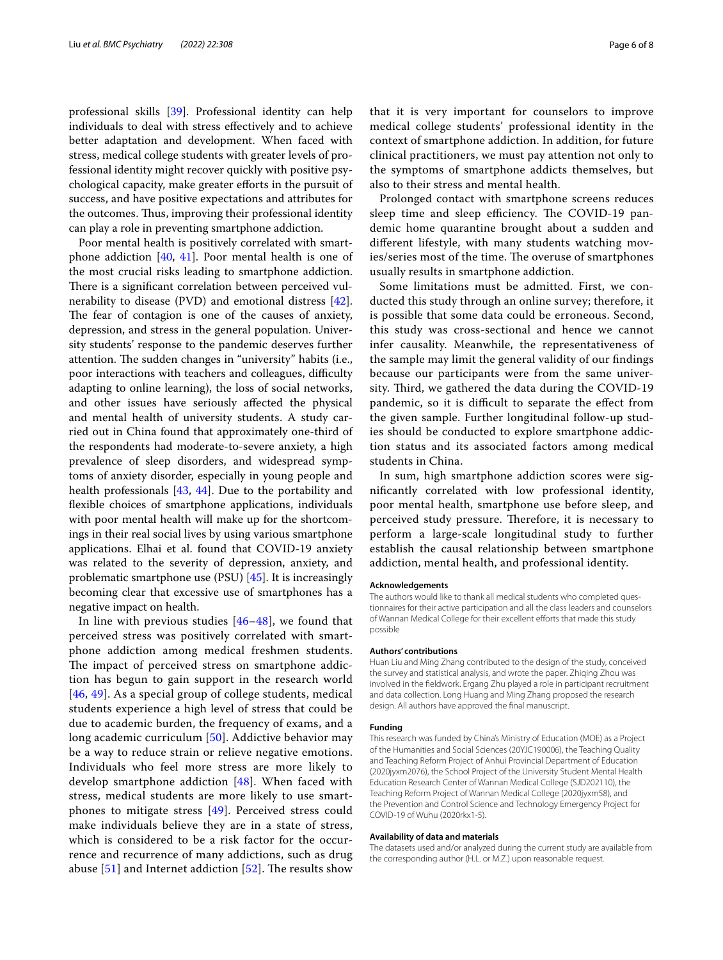professional skills [\[39](#page-7-3)]. Professional identity can help individuals to deal with stress efectively and to achieve better adaptation and development. When faced with stress, medical college students with greater levels of professional identity might recover quickly with positive psychological capacity, make greater eforts in the pursuit of success, and have positive expectations and attributes for the outcomes. Thus, improving their professional identity can play a role in preventing smartphone addiction.

Poor mental health is positively correlated with smartphone addiction [\[40](#page-7-4), [41](#page-7-5)]. Poor mental health is one of the most crucial risks leading to smartphone addiction. There is a significant correlation between perceived vulnerability to disease (PVD) and emotional distress [\[42](#page-7-6)]. The fear of contagion is one of the causes of anxiety, depression, and stress in the general population. University students' response to the pandemic deserves further attention. The sudden changes in "university" habits (i.e., poor interactions with teachers and colleagues, difficulty adapting to online learning), the loss of social networks, and other issues have seriously afected the physical and mental health of university students. A study carried out in China found that approximately one-third of the respondents had moderate-to-severe anxiety, a high prevalence of sleep disorders, and widespread symptoms of anxiety disorder, especially in young people and health professionals [[43,](#page-7-7) [44](#page-7-8)]. Due to the portability and fexible choices of smartphone applications, individuals with poor mental health will make up for the shortcomings in their real social lives by using various smartphone applications. Elhai et al. found that COVID-19 anxiety was related to the severity of depression, anxiety, and problematic smartphone use (PSU) [\[45\]](#page-7-9). It is increasingly becoming clear that excessive use of smartphones has a negative impact on health.

In line with previous studies [[46](#page-7-10)–[48](#page-7-11)], we found that perceived stress was positively correlated with smartphone addiction among medical freshmen students. The impact of perceived stress on smartphone addiction has begun to gain support in the research world [[46](#page-7-10), [49](#page-7-12)]. As a special group of college students, medical students experience a high level of stress that could be due to academic burden, the frequency of exams, and a long academic curriculum [[50\]](#page-7-13). Addictive behavior may be a way to reduce strain or relieve negative emotions. Individuals who feel more stress are more likely to develop smartphone addiction [[48\]](#page-7-11). When faced with stress, medical students are more likely to use smartphones to mitigate stress [\[49\]](#page-7-12). Perceived stress could make individuals believe they are in a state of stress, which is considered to be a risk factor for the occurrence and recurrence of many addictions, such as drug abuse  $[51]$  $[51]$  and Internet addiction  $[52]$  $[52]$ . The results show

that it is very important for counselors to improve medical college students' professional identity in the context of smartphone addiction. In addition, for future clinical practitioners, we must pay attention not only to the symptoms of smartphone addicts themselves, but also to their stress and mental health.

Prolonged contact with smartphone screens reduces sleep time and sleep efficiency. The COVID-19 pandemic home quarantine brought about a sudden and diferent lifestyle, with many students watching movies/series most of the time. The overuse of smartphones usually results in smartphone addiction.

Some limitations must be admitted. First, we conducted this study through an online survey; therefore, it is possible that some data could be erroneous. Second, this study was cross-sectional and hence we cannot infer causality. Meanwhile, the representativeness of the sample may limit the general validity of our fndings because our participants were from the same university. Third, we gathered the data during the COVID-19 pandemic, so it is difficult to separate the effect from the given sample. Further longitudinal follow-up studies should be conducted to explore smartphone addiction status and its associated factors among medical students in China.

In sum, high smartphone addiction scores were signifcantly correlated with low professional identity, poor mental health, smartphone use before sleep, and perceived study pressure. Therefore, it is necessary to perform a large-scale longitudinal study to further establish the causal relationship between smartphone addiction, mental health, and professional identity.

#### **Acknowledgements**

The authors would like to thank all medical students who completed questionnaires for their active participation and all the class leaders and counselors of Wannan Medical College for their excellent eforts that made this study possible

#### **Authors' contributions**

Huan Liu and Ming Zhang contributed to the design of the study, conceived the survey and statistical analysis, and wrote the paper. Zhiqing Zhou was involved in the feldwork. Ergang Zhu played a role in participant recruitment and data collection. Long Huang and Ming Zhang proposed the research design. All authors have approved the fnal manuscript.

#### **Funding**

This research was funded by China's Ministry of Education (MOE) as a Project of the Humanities and Social Sciences (20YJC190006), the Teaching Quality and Teaching Reform Project of Anhui Provincial Department of Education (2020jyxm2076), the School Project of the University Student Mental Health Education Research Center of Wannan Medical College (SJD202110), the Teaching Reform Project of Wannan Medical College (2020jyxm58), and the Prevention and Control Science and Technology Emergency Project for COVID-19 of Wuhu (2020rkx1-5).

#### **Availability of data and materials**

The datasets used and/or analyzed during the current study are available from the corresponding author (H.L. or M.Z.) upon reasonable request.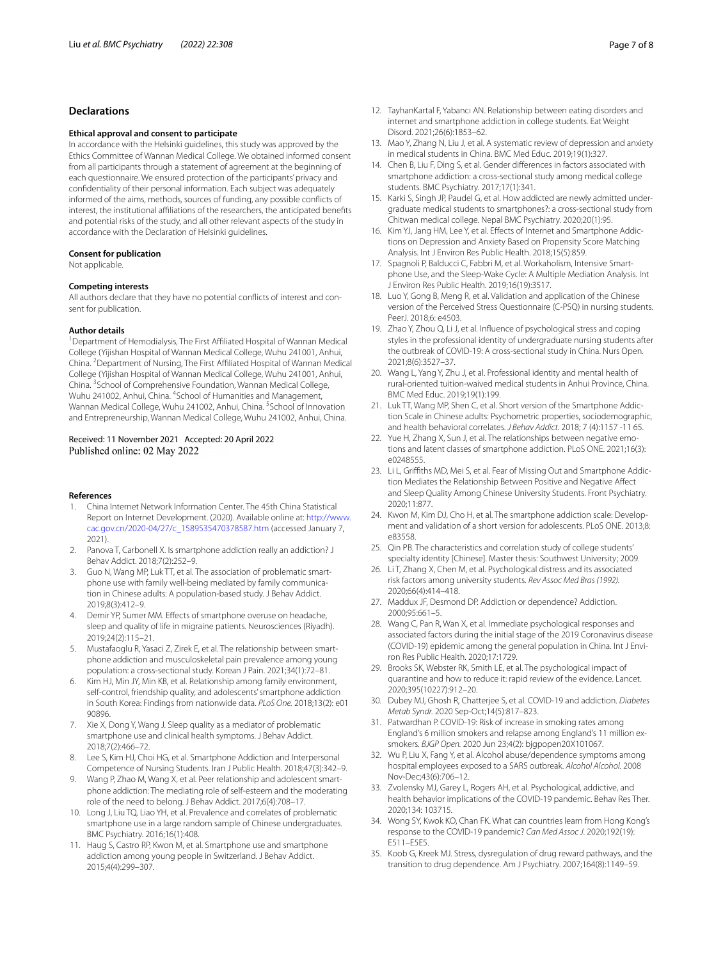## **Declarations**

#### **Ethical approval and consent to participate**

In accordance with the Helsinki guidelines, this study was approved by the Ethics Committee of Wannan Medical College. We obtained informed consent from all participants through a statement of agreement at the beginning of each questionnaire. We ensured protection of the participants' privacy and confdentiality of their personal information. Each subject was adequately informed of the aims, methods, sources of funding, any possible conficts of interest, the institutional affiliations of the researchers, the anticipated benefits and potential risks of the study, and all other relevant aspects of the study in accordance with the Declaration of Helsinki guidelines.

#### **Consent for publication**

Not applicable.

#### **Competing interests**

All authors declare that they have no potential conficts of interest and consent for publication.

#### **Author details**

<sup>1</sup> Department of Hemodialysis, The First Affiliated Hospital of Wannan Medical College (Yijishan Hospital of Wannan Medical College, Wuhu 241001, Anhui, China. <sup>2</sup> Department of Nursing, The First Affiliated Hospital of Wannan Medical College (Yijishan Hospital of Wannan Medical College, Wuhu 241001, Anhui, China. <sup>3</sup> School of Comprehensive Foundation, Wannan Medical College, Wuhu 241002, Anhui, China. <sup>4</sup>School of Humanities and Management, Wannan Medical College, Wuhu 241002, Anhui, China. <sup>5</sup>School of Innovation and Entrepreneurship, Wannan Medical College, Wuhu 241002, Anhui, China.

#### Received: 11 November 2021 Accepted: 20 April 2022 Published online: 02 May 2022

#### **References**

- <span id="page-6-0"></span>1. China Internet Network Information Center. The 45th China Statistical Report on Internet Development. (2020). Available online at: [http://www.](http://www.cac.gov.cn/2020-04/27/c_1589535470378587.htm) [cac.gov.cn/2020-04/27/c\\_1589535470378587.htm](http://www.cac.gov.cn/2020-04/27/c_1589535470378587.htm) (accessed January 7, 2021).
- <span id="page-6-1"></span>2. Panova T, Carbonell X. Is smartphone addiction really an addiction? J Behav Addict. 2018;7(2):252–9.
- <span id="page-6-2"></span>3. Guo N, Wang MP, Luk TT, et al. The association of problematic smartphone use with family well-being mediated by family communication in Chinese adults: A population-based study. J Behav Addict. 2019;8(3):412–9.
- <span id="page-6-3"></span>4. Demir YP, Sumer MM. Efects of smartphone overuse on headache, sleep and quality of life in migraine patients. Neurosciences (Riyadh). 2019;24(2):115–21.
- <span id="page-6-4"></span>5. Mustafaoglu R, Yasaci Z, Zirek E, et al. The relationship between smartphone addiction and musculoskeletal pain prevalence among young population: a cross-sectional study. Korean J Pain. 2021;34(1):72–81.
- <span id="page-6-5"></span>6. Kim HJ, Min JY, Min KB, et al. Relationship among family environment, self-control, friendship quality, and adolescents' smartphone addiction in South Korea: Findings from nationwide data. *PLoS One.* 2018;13(2): e01 90896.
- <span id="page-6-6"></span>7. Xie X, Dong Y, Wang J. Sleep quality as a mediator of problematic smartphone use and clinical health symptoms. J Behav Addict. 2018;7(2):466–72.
- <span id="page-6-7"></span>8. Lee S, Kim HJ, Choi HG, et al. Smartphone Addiction and Interpersonal Competence of Nursing Students. Iran J Public Health. 2018;47(3):342–9.
- <span id="page-6-8"></span>9. Wang P, Zhao M, Wang X, et al. Peer relationship and adolescent smartphone addiction: The mediating role of self-esteem and the moderating role of the need to belong. J Behav Addict. 2017;6(4):708–17.
- <span id="page-6-9"></span>10. Long J, Liu TQ, Liao YH, et al. Prevalence and correlates of problematic smartphone use in a large random sample of Chinese undergraduates. BMC Psychiatry. 2016;16(1):408.
- 11. Haug S, Castro RP, Kwon M, et al. Smartphone use and smartphone addiction among young people in Switzerland. J Behav Addict. 2015;4(4):299–307.
- <span id="page-6-10"></span>12. TayhanKartal F, Yabancı AN. Relationship between eating disorders and internet and smartphone addiction in college students. Eat Weight Disord. 2021;26(6):1853–62.
- <span id="page-6-11"></span>13. Mao Y, Zhang N, Liu J, et al. A systematic review of depression and anxiety in medical students in China. BMC Med Educ. 2019;19(1):327.
- <span id="page-6-12"></span>14. Chen B, Liu F, Ding S, et al. Gender diferences in factors associated with smartphone addiction: a cross-sectional study among medical college students. BMC Psychiatry. 2017;17(1):341.
- <span id="page-6-13"></span>15. Karki S, Singh JP, Paudel G, et al. How addicted are newly admitted undergraduate medical students to smartphones?: a cross-sectional study from Chitwan medical college. Nepal BMC Psychiatry. 2020;20(1):95.
- <span id="page-6-14"></span>16. Kim YJ, Jang HM, Lee Y, et al. Efects of Internet and Smartphone Addictions on Depression and Anxiety Based on Propensity Score Matching Analysis. Int J Environ Res Public Health. 2018;15(5):859.
- <span id="page-6-15"></span>17. Spagnoli P, Balducci C, Fabbri M, et al. Workaholism, Intensive Smartphone Use, and the Sleep-Wake Cycle: A Multiple Mediation Analysis. Int J Environ Res Public Health. 2019;16(19):3517.
- <span id="page-6-16"></span>18. Luo Y, Gong B, Meng R, et al. Validation and application of the Chinese version of the Perceived Stress Questionnaire (C-PSQ) in nursing students. PeerJ. 2018;6: e4503.
- <span id="page-6-17"></span>19. Zhao Y, Zhou Q, Li J, et al. Infuence of psychological stress and coping styles in the professional identity of undergraduate nursing students after the outbreak of COVID-19: A cross-sectional study in China. Nurs Open. 2021;8(6):3527–37.
- <span id="page-6-18"></span>20. Wang L, Yang Y, Zhu J, et al. Professional identity and mental health of rural-oriented tuition-waived medical students in Anhui Province, China. BMC Med Educ. 2019;19(1):199.
- <span id="page-6-19"></span>21. Luk TT, Wang MP, Shen C, et al. Short version of the Smartphone Addiction Scale in Chinese adults: Psychometric properties, sociodemographic, and health behavioral correlates. *J Behav Addict.* 2018; 7 (4):1157 -11 65.
- <span id="page-6-20"></span>22. Yue H, Zhang X, Sun J, et al. The relationships between negative emotions and latent classes of smartphone addiction. PLoS ONE. 2021;16(3): e0248555.
- <span id="page-6-21"></span>23. Li L, Griffiths MD, Mei S, et al. Fear of Missing Out and Smartphone Addiction Mediates the Relationship Between Positive and Negative Afect and Sleep Quality Among Chinese University Students. Front Psychiatry. 2020;11:877.
- <span id="page-6-22"></span>24. Kwon M, Kim DJ, Cho H, et al. The smartphone addiction scale: Development and validation of a short version for adolescents. PLoS ONE. 2013;8: e83558.
- <span id="page-6-23"></span>25. Qin PB. The characteristics and correlation study of college students' specialty identity [Chinese]. Master thesis: Southwest University; 2009.
- <span id="page-6-24"></span>26. Li T, Zhang X, Chen M, et al. Psychological distress and its associated risk factors among university students. *Rev Assoc Med Bras (1992).* 2020;66(4):414–418.
- <span id="page-6-25"></span>27. Maddux JF, Desmond DP. Addiction or dependence? Addiction. 2000;95:661–5.
- <span id="page-6-26"></span>28. Wang C, Pan R, Wan X, et al. Immediate psychological responses and associated factors during the initial stage of the 2019 Coronavirus disease (COVID-19) epidemic among the general population in China. Int J Environ Res Public Health. 2020;17:1729.
- <span id="page-6-27"></span>29. Brooks SK, Webster RK, Smith LE, et al. The psychological impact of quarantine and how to reduce it: rapid review of the evidence. Lancet. 2020;395(10227):912–20.
- <span id="page-6-28"></span>30. Dubey MJ, Ghosh R, Chatterjee S, et al. COVID-19 and addiction. *Diabetes Metab Syndr.* 2020 Sep-Oct;14(5):817–823.
- <span id="page-6-29"></span>31. Patwardhan P. COVID-19: Risk of increase in smoking rates among England's 6 million smokers and relapse among England's 11 million exsmokers. *BJGP Open.* 2020 Jun 23;4(2): bjgpopen20X101067.
- <span id="page-6-30"></span>32. Wu P, Liu X, Fang Y, et al. Alcohol abuse/dependence symptoms among hospital employees exposed to a SARS outbreak. *Alcohol Alcohol.* 2008 Nov-Dec;43(6):706–12.
- <span id="page-6-31"></span>33. Zvolensky MJ, Garey L, Rogers AH, et al. Psychological, addictive, and health behavior implications of the COVID-19 pandemic. Behav Res Ther. 2020;134: 103715.
- <span id="page-6-32"></span>34. Wong SY, Kwok KO, Chan FK. What can countries learn from Hong Kong's response to the COVID-19 pandemic? *Can Med Assoc J*. 2020;192(19): E511–E5E5.
- <span id="page-6-33"></span>35. Koob G, Kreek MJ. Stress, dysregulation of drug reward pathways, and the transition to drug dependence. Am J Psychiatry. 2007;164(8):1149–59.